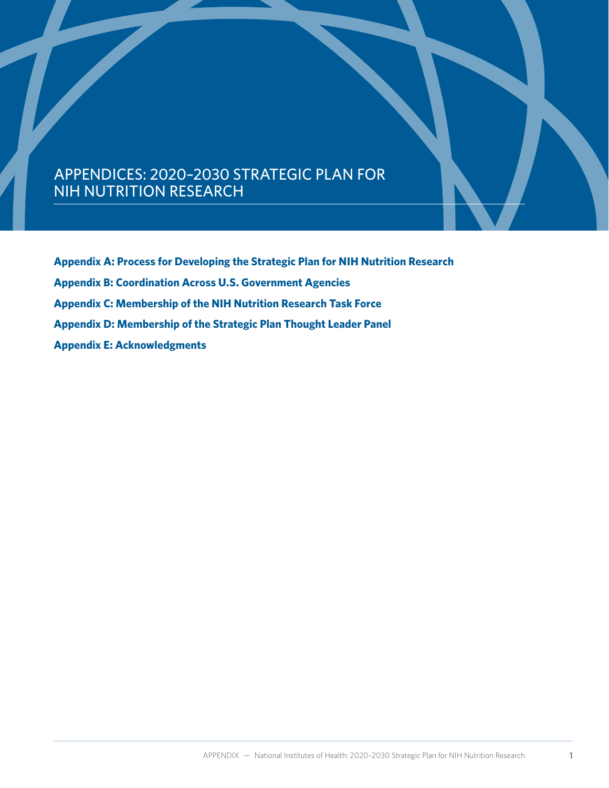# APPENDICES: 2020–2030 STRATEGIC PLAN FOR NIH NUTRITION RESEARCH

**[Appendix A: Process for Developing the Strategic Plan for NIH Nutrition Research](#page-1-0) [Appendix B: Coordination Across U.S. Government Agencies](#page-2-0) [Appendix C: Membership of the NIH Nutrition Research Task Force](#page-7-0) [Appendix D: Membership of the Strategic Plan Thought Leader Panel](#page-9-0) [Appendix E: Acknowledgments](#page-10-0)**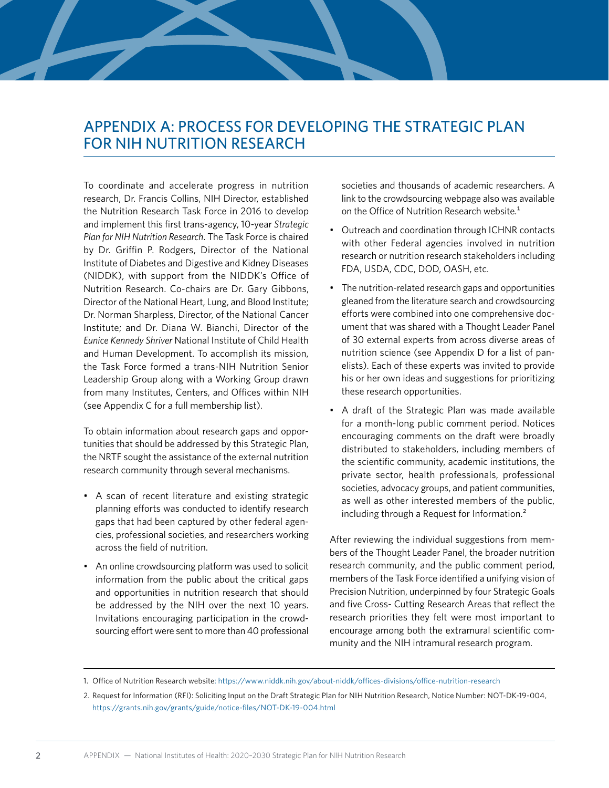# <span id="page-1-0"></span>APPENDIX A: PROCESS FOR DEVELOPING THE STRATEGIC PLAN FOR NIH NUTRITION RESEARCH

To coordinate and accelerate progress in nutrition research, Dr. Francis Collins, NIH Director, established the Nutrition Research Task Force in 2016 to develop and implement this first trans-agency, 10-year *Strategic Plan for NIH Nutrition Research*. The Task Force is chaired by Dr. Griffin P. Rodgers, Director of the National Institute of Diabetes and Digestive and Kidney Diseases (NIDDK), with support from the NIDDK's Office of Nutrition Research. Co-chairs are Dr. Gary Gibbons, Director of the National Heart, Lung, and Blood Institute; Dr. Norman Sharpless, Director, of the National Cancer Institute; and Dr. Diana W. Bianchi, Director of the *Eunice Kennedy Shriver* National Institute of Child Health and Human Development. To accomplish its mission, the Task Force formed a trans-NIH Nutrition Senior Leadership Group along with a Working Group drawn from many Institutes, Centers, and Offices within NIH (see Appendix C for a full membership list).

To obtain information about research gaps and opportunities that should be addressed by this Strategic Plan, the NRTF sought the assistance of the external nutrition research community through several mechanisms.

- A scan of recent literature and existing strategic planning efforts was conducted to identify research gaps that had been captured by other federal agencies, professional societies, and researchers working across the field of nutrition.
- An online crowdsourcing platform was used to solicit information from the public about the critical gaps and opportunities in nutrition research that should be addressed by the NIH over the next 10 years. Invitations encouraging participation in the crowdsourcing effort were sent to more than 40 professional

societies and thousands of academic researchers. A link to the crowdsourcing webpage also was available on the Office of Nutrition Research website.<sup>1</sup>

- Outreach and coordination through ICHNR contacts with other Federal agencies involved in nutrition research or nutrition research stakeholders including FDA, USDA, CDC, DOD, OASH, etc.
- The nutrition-related research gaps and opportunities gleaned from the literature search and crowdsourcing efforts were combined into one comprehensive document that was shared with a Thought Leader Panel of 30 external experts from across diverse areas of nutrition science (see Appendix D for a list of panelists). Each of these experts was invited to provide his or her own ideas and suggestions for prioritizing these research opportunities.
- A draft of the Strategic Plan was made available for a month-long public comment period. Notices encouraging comments on the draft were broadly distributed to stakeholders, including members of the scientific community, academic institutions, the private sector, health professionals, professional societies, advocacy groups, and patient communities, as well as other interested members of the public, including through a Request for Information.<sup>2</sup>

After reviewing the individual suggestions from members of the Thought Leader Panel, the broader nutrition research community, and the public comment period, members of the Task Force identified a unifying vision of Precision Nutrition, underpinned by four Strategic Goals and five Cross- Cutting Research Areas that reflect the research priorities they felt were most important to encourage among both the extramural scientific community and the NIH intramural research program.

<sup>1.</sup> Office of Nutrition Research website: <https://www.niddk.nih.gov/about-niddk/offices-divisions/office-nutrition-research>

<sup>2.</sup> Request for Information (RFI): Soliciting Input on the Draft Strategic Plan for NIH Nutrition Research, Notice Number: NOT-DK-19-004, <https://grants.nih.gov/grants/guide/notice-files/NOT-DK-19-004.html>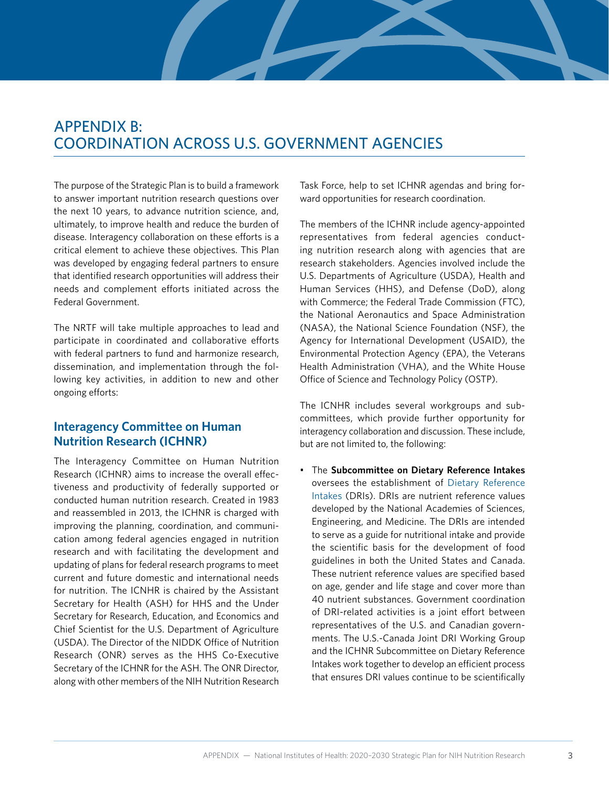# <span id="page-2-0"></span>APPENDIX B: COORDINATION ACROSS U.S. GOVERNMENT AGENCIES

The purpose of the Strategic Plan is to build a framework to answer important nutrition research questions over the next 10 years, to advance nutrition science, and, ultimately, to improve health and reduce the burden of disease. Interagency collaboration on these efforts is a critical element to achieve these objectives. This Plan was developed by engaging federal partners to ensure that identified research opportunities will address their needs and complement efforts initiated across the Federal Government.

The NRTF will take multiple approaches to lead and participate in coordinated and collaborative efforts with federal partners to fund and harmonize research, dissemination, and implementation through the following key activities, in addition to new and other ongoing efforts:

## **Interagency Committee on Human Nutrition Research (ICHNR)**

[The Interagency Committee on Human Nutrition](https://www.nal.usda.gov/fnic/interagency-committee-human-nutrition-research) [Research \(ICHNR\)](https://www.nal.usda.gov/fnic/interagency-committee-human-nutrition-research) aims to increase the overall effectiveness and productivity of federally supported or conducted human nutrition research. Created in 1983 and reassembled in 2013, the ICHNR is charged with improving the planning, coordination, and communication among federal agencies engaged in nutrition research and with facilitating the development and updating of plans for federal research programs to meet current and future domestic and international needs for nutrition. The ICNHR is chaired by the Assistant Secretary for Health (ASH) for HHS and the Under Secretary for Research, Education, and Economics and Chief Scientist for the U.S. Department of Agriculture (USDA). The Director of the NIDDK Office of Nutrition Research (ONR) serves as the HHS Co-Executive Secretary of the ICHNR for the ASH. The ONR Director, along with other members of the NIH Nutrition Research Task Force, help to set ICHNR agendas and bring forward opportunities for research coordination.

The members of the ICHNR include agency-appointed representatives from federal agencies conducting nutrition research along with agencies that are research stakeholders. Agencies involved include the U.S. Departments of Agriculture (USDA), Health and Human Services (HHS), and Defense (DoD), along with Commerce; the Federal Trade Commission (FTC), the National Aeronautics and Space Administration (NASA), the National Science Foundation (NSF), the Agency for International Development (USAID), the Environmental Protection Agency (EPA), the Veterans Health Administration (VHA), and the White House Office of Science and Technology Policy (OSTP).

The ICNHR includes several workgroups and subcommittees, which provide further opportunity for interagency collaboration and discussion. These include, but are not limited to, the following:

• The **Subcommittee on Dietary Reference Intakes** oversees the establishment of [Dietary Reference](http://www.nationalacademies.org/hmd/Activities/Nutrition/SummaryDRIs/DRI-Tables.aspx) [Intakes](http://www.nationalacademies.org/hmd/Activities/Nutrition/SummaryDRIs/DRI-Tables.aspx) (DRIs). DRIs are nutrient reference values developed by the National Academies of Sciences, Engineering, and Medicine. The DRIs are intended to serve as a guide for nutritional intake and provide the scientific basis for the development of food guidelines in both the United States and Canada. These nutrient reference values are specified based on age, gender and life stage and cover more than 40 nutrient substances. Government coordination of DRI-related activities is a joint effort between representatives of the U.S. and Canadian governments. The U.S.-Canada Joint DRI Working Group and the ICHNR Subcommittee on Dietary Reference Intakes work together to develop an efficient process that ensures DRI values continue to be scientifically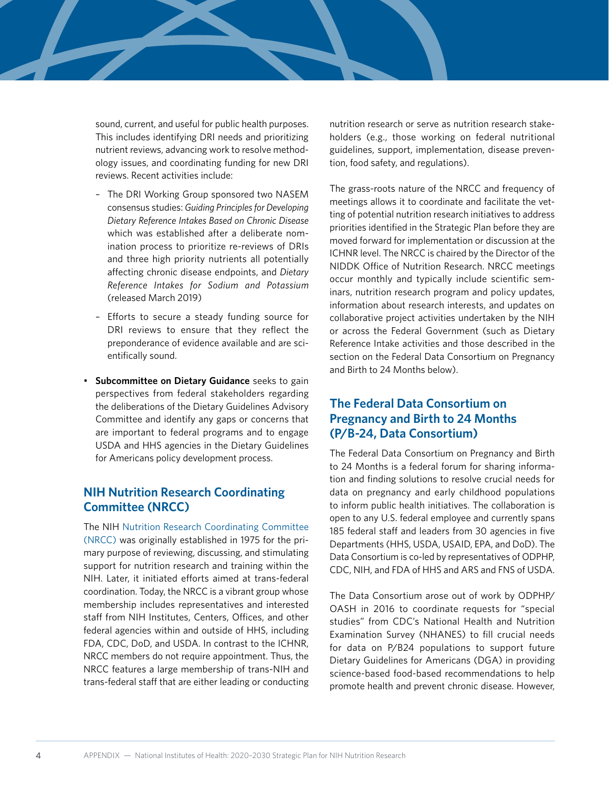sound, current, and useful for public health purposes. This includes identifying DRI needs and prioritizing nutrient reviews, advancing work to resolve methodology issues, and coordinating funding for new DRI reviews. Recent activities include:

- The DRI Working Group sponsored two NASEM consensus studies: *Guiding Principles for Developing Dietary Reference Intakes Based on Chronic Disease* which was established after a deliberate nomination process to prioritize re-reviews of DRIs and three high priority nutrients all potentially affecting chronic disease endpoints, and *Dietary Reference Intakes for Sodium and Potassium* (released March 2019)
- Efforts to secure a steady funding source for DRI reviews to ensure that they reflect the preponderance of evidence available and are scientifically sound.
- **Subcommittee on Dietary Guidance** seeks to gain perspectives from federal stakeholders regarding the deliberations of the Dietary Guidelines Advisory Committee and identify any gaps or concerns that are important to federal programs and to engage USDA and HHS agencies in the Dietary Guidelines for Americans policy development process.

## **NIH Nutrition Research Coordinating Committee (NRCC)**

The NIH [Nutrition Research Coordinating Committee](https://www.niddk.nih.gov/about-niddk/advisory-coordinating-committees/nutrition-research-coordinating-committee) [\(NRCC\)](https://www.niddk.nih.gov/about-niddk/advisory-coordinating-committees/nutrition-research-coordinating-committee) was originally established in 1975 for the primary purpose of reviewing, discussing, and stimulating support for nutrition research and training within the NIH. Later, it initiated efforts aimed at trans-federal coordination. Today, the NRCC is a vibrant group whose membership includes representatives and interested staff from NIH Institutes, Centers, Offices, and other federal agencies within and outside of HHS, including FDA, CDC, DoD, and USDA. In contrast to the ICHNR, NRCC members do not require appointment. Thus, the NRCC features a large membership of trans-NIH and trans-federal staff that are either leading or conducting

nutrition research or serve as nutrition research stakeholders (e.g., those working on federal nutritional guidelines, support, implementation, disease prevention, food safety, and regulations).

The grass-roots nature of the NRCC and frequency of meetings allows it to coordinate and facilitate the vetting of potential nutrition research initiatives to address priorities identified in the Strategic Plan before they are moved forward for implementation or discussion at the ICHNR level. The NRCC is chaired by the Director of the NIDDK Office of Nutrition Research. NRCC meetings occur monthly and typically include scientific seminars, nutrition research program and policy updates, information about research interests, and updates on collaborative project activities undertaken by the NIH or across the Federal Government (such as Dietary Reference Intake activities and those described in the section on the Federal Data Consortium on Pregnancy and Birth to 24 Months below).

## **The Federal Data Consortium on Pregnancy and Birth to 24 Months (P/B-24, Data Consortium)**

The Federal Data Consortium on Pregnancy and Birth to 24 Months is a federal forum for sharing information and finding solutions to resolve crucial needs for data on pregnancy and early childhood populations to inform public health initiatives. The collaboration is open to any U.S. federal employee and currently spans 185 federal staff and leaders from 30 agencies in five Departments (HHS, USDA, USAID, EPA, and DoD). The Data Consortium is co-led by representatives of ODPHP, CDC, NIH, and FDA of HHS and ARS and FNS of USDA.

The Data Consortium arose out of work by ODPHP/ OASH in 2016 to coordinate requests for "special studies" from CDC's National Health and Nutrition Examination Survey (NHANES) to fill crucial needs for data on P/B24 populations to support future Dietary Guidelines for Americans (DGA) in providing science-based food-based recommendations to help promote health and prevent chronic disease. However,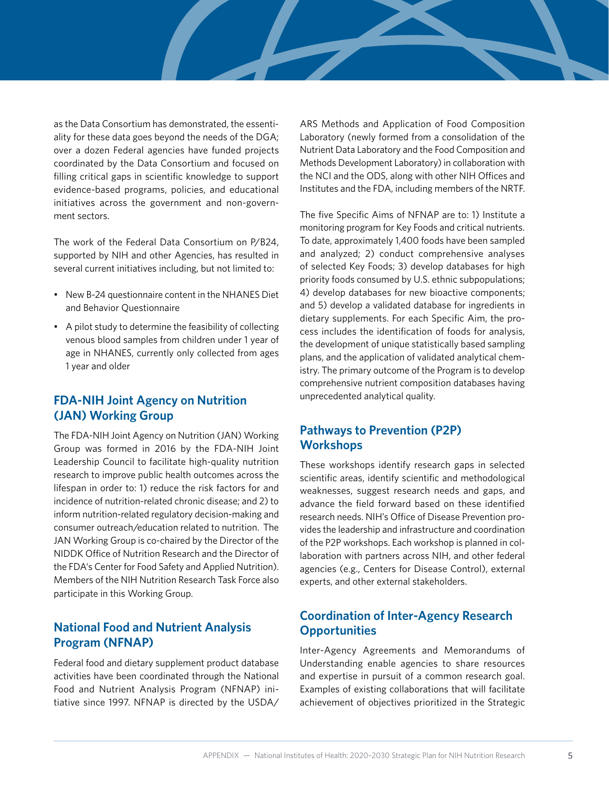as the Data Consortium has demonstrated, the essentiality for these data goes beyond the needs of the DGA; over a dozen Federal agencies have funded projects coordinated by the Data Consortium and focused on filling critical gaps in scientific knowledge to support evidence-based programs, policies, and educational initiatives across the government and non-government sectors.

The work of the Federal Data Consortium on P/B24, supported by NIH and other Agencies, has resulted in several current initiatives including, but not limited to:

- New B-24 questionnaire content in the NHANES Diet and Behavior Questionnaire
- A pilot study to determine the feasibility of collecting venous blood samples from children under 1 year of age in NHANES, currently only collected from ages 1 year and older

## **FDA-NIH Joint Agency on Nutrition (JAN) Working Group**

The FDA-NIH Joint Agency on Nutrition (JAN) Working Group was formed in 2016 by the [FDA-NIH Joint](https://www.fda.gov/science-research/advancing-regulatory-science/fda-nih-joint-leadership-council-charter) [Leadership Council](https://www.fda.gov/science-research/advancing-regulatory-science/fda-nih-joint-leadership-council-charter) to facilitate high-quality nutrition research to improve public health outcomes across the lifespan in order to: 1) reduce the risk factors for and incidence of nutrition-related chronic disease; and 2) to inform nutrition-related regulatory decision-making and consumer outreach/education related to nutrition. The JAN Working Group is co-chaired by the Director of the NIDDK Office of Nutrition Research and the Director of the FDA's [Center for Food Safety and Applied Nutrition](https://www.fda.gov/about-fda/fda-organization/center-food-safety-and-applied-nutrition-cfsan)). Members of the NIH Nutrition Research Task Force also participate in this Working Group.

## **National Food and Nutrient Analysis Program (NFNAP)**

Federal food and dietary supplement product database activities have been coordinated through the [National](http://www.ars.usda.gov/Aboutus/docs.htm?docid=9446) [Food and Nutrient Analysis Program \(NFNAP\)](http://www.ars.usda.gov/Aboutus/docs.htm?docid=9446) initiative since 1997. NFNAP is directed by the USDA/ ARS Methods and Application of Food Composition Laboratory (newly formed from a consolidation of the Nutrient Data Laboratory and the Food Composition and Methods Development Laboratory) in collaboration with the NCI and the ODS, along with other NIH Offices and Institutes and the FDA, including members of the NRTF.

The five Specific Aims of NFNAP are to: 1) Institute a monitoring program for Key Foods and critical nutrients. To date, approximately 1,400 foods have been sampled and analyzed; 2) conduct comprehensive analyses of selected Key Foods; 3) develop databases for high priority foods consumed by U.S. ethnic subpopulations; 4) develop databases for new bioactive components; and 5) develop a validated database for ingredients in dietary supplements. For each Specific Aim, the process includes the identification of foods for analysis, the development of unique statistically based sampling plans, and the application of validated analytical chemistry. The primary outcome of the Program is to develop comprehensive nutrient composition databases having unprecedented analytical quality.

## **Pathways to Prevention (P2P) Workshops**

These workshops identify research gaps in selected scientific areas, identify scientific and methodological weaknesses, suggest research needs and gaps, and advance the field forward based on these identified research needs. NIH's Office of Disease Prevention provides the leadership and infrastructure and coordination of the P2P workshops. Each workshop is planned in collaboration with partners across NIH, and other federal agencies (e.g., Centers for Disease Control), external experts, and other external stakeholders.

# **Coordination of Inter-Agency Research Opportunities**

Inter-Agency Agreements and Memorandums of Understanding enable agencies to share resources and expertise in pursuit of a common research goal. Examples of existing collaborations that will facilitate achievement of objectives prioritized in the Strategic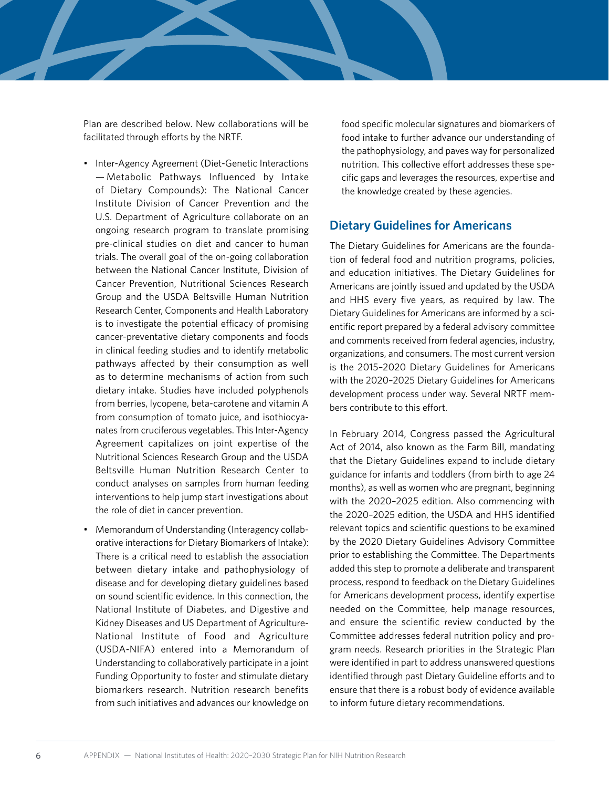Plan are described below. New collaborations will be facilitated through efforts by the NRTF.

- Inter-Agency Agreement (Diet-Genetic Interactions — Metabolic Pathways Influenced by Intake of Dietary Compounds): The National Cancer Institute Division of Cancer Prevention and the U.S. Department of Agriculture collaborate on an ongoing research program to translate promising pre-clinical studies on diet and cancer to human trials. The overall goal of the on-going collaboration between the National Cancer Institute, Division of Cancer Prevention, Nutritional Sciences Research Group and the USDA Beltsville Human Nutrition Research Center, Components and Health Laboratory is to investigate the potential efficacy of promising cancer-preventative dietary components and foods in clinical feeding studies and to identify metabolic pathways affected by their consumption as well as to determine mechanisms of action from such dietary intake. Studies have included polyphenols from berries, lycopene, beta-carotene and vitamin A from consumption of tomato juice, and isothiocyanates from cruciferous vegetables. This Inter-Agency Agreement capitalizes on joint expertise of the Nutritional Sciences Research Group and the USDA Beltsville Human Nutrition Research Center to conduct analyses on samples from human feeding interventions to help jump start investigations about the role of diet in cancer prevention.
- Memorandum of Understanding (Interagency collaborative interactions for Dietary Biomarkers of Intake): There is a critical need to establish the association between dietary intake and pathophysiology of disease and for developing dietary guidelines based on sound scientific evidence. In this connection, the National Institute of Diabetes, and Digestive and Kidney Diseases and US Department of Agriculture-National Institute of Food and Agriculture (USDA-NIFA) entered into a Memorandum of Understanding to collaboratively participate in a joint Funding Opportunity to foster and stimulate dietary biomarkers research. Nutrition research benefits from such initiatives and advances our knowledge on

food specific molecular signatures and biomarkers of food intake to further advance our understanding of the pathophysiology, and paves way for personalized nutrition. This collective effort addresses these specific gaps and leverages the resources, expertise and the knowledge created by these agencies.

### **Dietary Guidelines for Americans**

The Dietary Guidelines for Americans are the foundation of federal food and nutrition programs, policies, and education initiatives. The Dietary Guidelines for Americans are jointly issued and updated by the USDA and HHS every five years, as required by law. The Dietary Guidelines for Americans are informed by a scientific report prepared by a federal advisory committee and comments received from federal agencies, industry, organizations, and consumers. The most current version is the [2015–2020 Dietary Guidelines for Americans](http://health.gov/dietaryguidelines/2015.asp) with the 2020–2025 Dietary Guidelines for Americans development process under way. Several NRTF members contribute to this effort.

In February 2014, Congress passed the Agricultural Act of 2014, also known as the Farm Bill, mandating that the Dietary Guidelines expand to include dietary guidance for infants and toddlers (from birth to age 24 months), as well as women who are pregnant, beginning with the 2020–2025 edition. Also commencing with the 2020–2025 edition, the USDA and HHS identified relevant [topics and scientific questions](https://www.dietaryguidelines.gov/work-under-way/review-science/topics-and-questions-under-review) to be examined by the 2020 Dietary Guidelines Advisory Committee prior to establishing the Committee. The Departments added this step to promote a deliberate and transparent process, respond to feedback on the Dietary Guidelines for Americans development process, identify expertise needed on the Committee, help manage resources, and ensure the scientific review conducted by the Committee addresses federal nutrition policy and program needs. Research priorities in the Strategic Plan were identified in part to address unanswered questions identified through past Dietary Guideline efforts and to ensure that there is a robust body of evidence available to inform future dietary recommendations.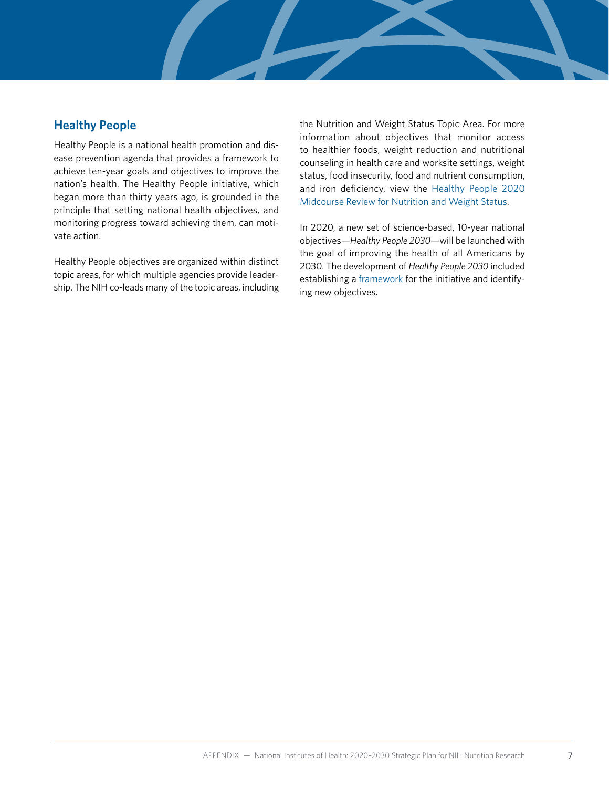## **[Healthy People](http://www.healthypeople.gov/2020/default.aspx)**

Healthy People is a national health promotion and disease prevention agenda that provides a framework to achieve ten-year goals and objectives to improve the nation's health. The Healthy People initiative, which began more than thirty years ago, is grounded in the principle that setting national health objectives, and monitoring progress toward achieving them, can motivate action.

Healthy People objectives are organized within distinct topic areas, for which multiple agencies provide leadership. The NIH co-leads many of the topic areas, including the Nutrition and Weight Status Topic Area. For more information about objectives that monitor access to healthier foods, weight reduction and nutritional counseling in health care and worksite settings, weight status, food insecurity, food and nutrient consumption, and iron deficiency, view the [Healthy People 2020](https://www.cdc.gov/nchs/data/hpdata2020/HP2020MCR-C29-NWS.pdf) [Midcourse Review for Nutrition and Weight Status.](https://www.cdc.gov/nchs/data/hpdata2020/HP2020MCR-C29-NWS.pdf)

In 2020, a new set of science-based, 10-year national objectives—*Healthy People 2030*—will be launched with the goal of improving the health of all Americans by 2030. The development of *Healthy People 2030* included establishing a [framework](https://www.healthypeople.gov/2020/About-Healthy-People/Development-Healthy-People-2030/Framework) for the initiative and identifying new objectives.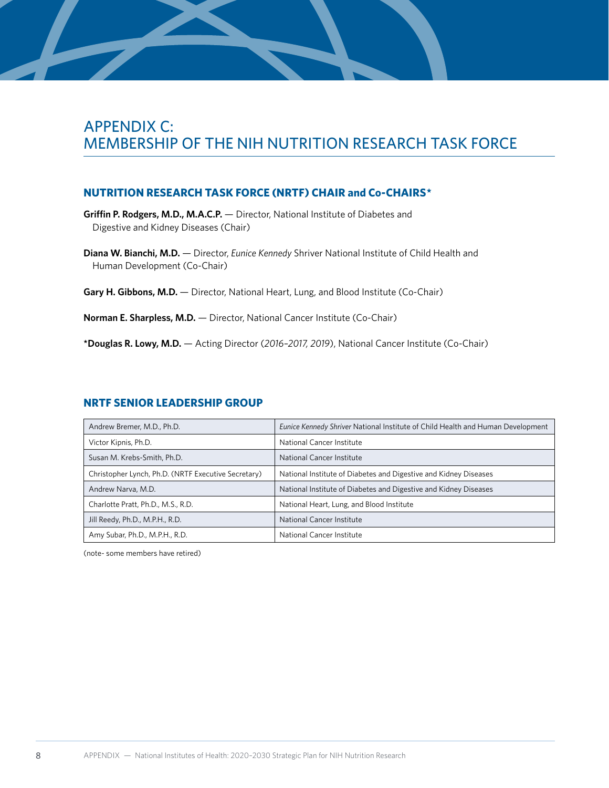# <span id="page-7-0"></span>APPENDIX C: MEMBERSHIP OF THE NIH NUTRITION RESEARCH TASK FORCE

### **NUTRITION RESEARCH TASK FORCE (NRTF) CHAIR and Co-CHAIRS\***

**Griffin P. Rodgers, M.D., M.A.C.P.** — Director, National Institute of Diabetes and Digestive and Kidney Diseases (Chair)

**Diana W. Bianchi, M.D.** — Director, *Eunice Kennedy* Shriver National Institute of Child Health and Human Development (Co-Chair)

Gary H. Gibbons, M.D. - Director, National Heart, Lung, and Blood Institute (Co-Chair)

**Norman E. Sharpless, M.D.** — Director, National Cancer Institute (Co-Chair)

**\*Douglas R. Lowy, M.D.** — Acting Director (*2016–2017, 2019*), National Cancer Institute (Co-Chair)

| Andrew Bremer, M.D., Ph.D.                          | Eunice Kennedy Shriver National Institute of Child Health and Human Development |
|-----------------------------------------------------|---------------------------------------------------------------------------------|
| Victor Kipnis, Ph.D.                                | National Cancer Institute                                                       |
| Susan M. Krebs-Smith, Ph.D.                         | National Cancer Institute                                                       |
| Christopher Lynch, Ph.D. (NRTF Executive Secretary) | National Institute of Diabetes and Digestive and Kidney Diseases                |
| Andrew Narva, M.D.                                  | National Institute of Diabetes and Digestive and Kidney Diseases                |
| Charlotte Pratt, Ph.D., M.S., R.D.                  | National Heart, Lung, and Blood Institute                                       |
| Jill Reedy, Ph.D., M.P.H., R.D.                     | National Cancer Institute                                                       |
| Amy Subar, Ph.D., M.P.H., R.D.                      | National Cancer Institute                                                       |

#### **NRTF SENIOR LEADERSHIP GROUP**

(note- some members have retired)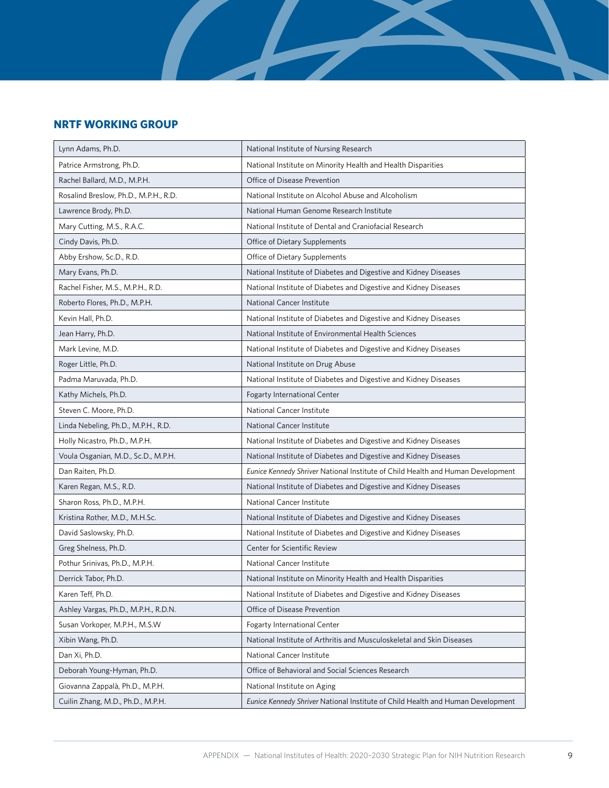### **NRTF WORKING GROUP**

| Lynn Adams, Ph.D.                     | National Institute of Nursing Research                                          |  |
|---------------------------------------|---------------------------------------------------------------------------------|--|
| Patrice Armstrong, Ph.D.              | National Institute on Minority Health and Health Disparities                    |  |
| Rachel Ballard, M.D., M.P.H.          | Office of Disease Prevention                                                    |  |
| Rosalind Breslow, Ph.D., M.P.H., R.D. | National Institute on Alcohol Abuse and Alcoholism                              |  |
| Lawrence Brody, Ph.D.                 | National Human Genome Research Institute                                        |  |
| Mary Cutting, M.S., R.A.C.            | National Institute of Dental and Craniofacial Research                          |  |
| Cindy Davis, Ph.D.                    | Office of Dietary Supplements                                                   |  |
| Abby Ershow, Sc.D., R.D.              | Office of Dietary Supplements                                                   |  |
| Mary Evans, Ph.D.                     | National Institute of Diabetes and Digestive and Kidney Diseases                |  |
| Rachel Fisher, M.S., M.P.H., R.D.     | National Institute of Diabetes and Digestive and Kidney Diseases                |  |
| Roberto Flores, Ph.D., M.P.H.         | National Cancer Institute                                                       |  |
| Kevin Hall, Ph.D.                     | National Institute of Diabetes and Digestive and Kidney Diseases                |  |
| Jean Harry, Ph.D.                     | National Institute of Environmental Health Sciences                             |  |
| Mark Levine, M.D.                     | National Institute of Diabetes and Digestive and Kidney Diseases                |  |
| Roger Little, Ph.D.                   | National Institute on Drug Abuse                                                |  |
| Padma Maruvada, Ph.D.                 | National Institute of Diabetes and Digestive and Kidney Diseases                |  |
| Kathy Michels, Ph.D.                  | Fogarty International Center                                                    |  |
| Steven C. Moore, Ph.D.                | National Cancer Institute                                                       |  |
| Linda Nebeling, Ph.D., M.P.H., R.D.   | National Cancer Institute                                                       |  |
| Holly Nicastro, Ph.D., M.P.H.         | National Institute of Diabetes and Digestive and Kidney Diseases                |  |
| Voula Osganian, M.D., Sc.D., M.P.H.   | National Institute of Diabetes and Digestive and Kidney Diseases                |  |
| Dan Raiten, Ph.D.                     | Eunice Kennedy Shriver National Institute of Child Health and Human Development |  |
| Karen Regan, M.S., R.D.               | National Institute of Diabetes and Digestive and Kidney Diseases                |  |
| Sharon Ross, Ph.D., M.P.H.            | National Cancer Institute                                                       |  |
| Kristina Rother, M.D., M.H.Sc.        | National Institute of Diabetes and Digestive and Kidney Diseases                |  |
| David Saslowsky, Ph.D.                | National Institute of Diabetes and Digestive and Kidney Diseases                |  |
| Greg Shelness, Ph.D.                  | Center for Scientific Review                                                    |  |
| Pothur Srinivas, Ph.D., M.P.H.        | National Cancer Institute                                                       |  |
| Derrick Tabor, Ph.D.                  | National Institute on Minority Health and Health Disparities                    |  |
| Karen Teff, Ph.D.                     | National Institute of Diabetes and Digestive and Kidney Diseases                |  |
| Ashley Vargas, Ph.D., M.P.H., R.D.N.  | Office of Disease Prevention                                                    |  |
| Susan Vorkoper, M.P.H., M.S.W         | Fogarty International Center                                                    |  |
| Xibin Wang, Ph.D.                     | National Institute of Arthritis and Musculoskeletal and Skin Diseases           |  |
| Dan Xi, Ph.D.                         | National Cancer Institute                                                       |  |
| Deborah Young-Hyman, Ph.D.            | Office of Behavioral and Social Sciences Research                               |  |
| Giovanna Zappalà, Ph.D., M.P.H.       | National Institute on Aging                                                     |  |
| Cuilin Zhang, M.D., Ph.D., M.P.H.     | Eunice Kennedy Shriver National Institute of Child Health and Human Development |  |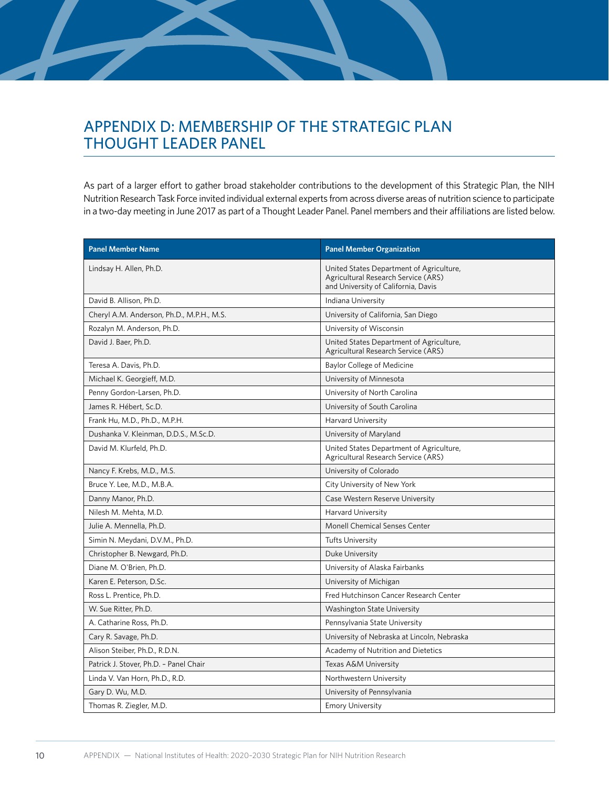# <span id="page-9-0"></span>APPENDIX D: MEMBERSHIP OF THE STRATEGIC PLAN THOUGHT LEADER PANEL

As part of a larger effort to gather broad stakeholder contributions to the development of this Strategic Plan, the NIH Nutrition Research Task Force invited individual external experts from across diverse areas of nutrition science to participate in a two-day meeting in June 2017 as part of a Thought Leader Panel. Panel members and their affiliations are listed below.

| <b>Panel Member Name</b>                  | <b>Panel Member Organization</b>                                                                                       |
|-------------------------------------------|------------------------------------------------------------------------------------------------------------------------|
| Lindsay H. Allen, Ph.D.                   | United States Department of Agriculture,<br>Agricultural Research Service (ARS)<br>and University of California, Davis |
| David B. Allison, Ph.D.                   | Indiana University                                                                                                     |
| Cheryl A.M. Anderson, Ph.D., M.P.H., M.S. | University of California, San Diego                                                                                    |
| Rozalyn M. Anderson, Ph.D.                | University of Wisconsin                                                                                                |
| David J. Baer, Ph.D.                      | United States Department of Agriculture,<br>Agricultural Research Service (ARS)                                        |
| Teresa A. Davis, Ph.D.                    | <b>Baylor College of Medicine</b>                                                                                      |
| Michael K. Georgieff, M.D.                | University of Minnesota                                                                                                |
| Penny Gordon-Larsen, Ph.D.                | University of North Carolina                                                                                           |
| James R. Hébert, Sc.D.                    | University of South Carolina                                                                                           |
| Frank Hu, M.D., Ph.D., M.P.H.             | Harvard University                                                                                                     |
| Dushanka V. Kleinman, D.D.S., M.Sc.D.     | University of Maryland                                                                                                 |
| David M. Klurfeld, Ph.D.                  | United States Department of Agriculture,<br>Agricultural Research Service (ARS)                                        |
| Nancy F. Krebs, M.D., M.S.                | University of Colorado                                                                                                 |
| Bruce Y. Lee, M.D., M.B.A.                | City University of New York                                                                                            |
| Danny Manor, Ph.D.                        | Case Western Reserve University                                                                                        |
| Nilesh M. Mehta, M.D.                     | <b>Harvard University</b>                                                                                              |
| Julie A. Mennella, Ph.D.                  | <b>Monell Chemical Senses Center</b>                                                                                   |
| Simin N. Meydani, D.V.M., Ph.D.           | <b>Tufts University</b>                                                                                                |
| Christopher B. Newgard, Ph.D.             | Duke University                                                                                                        |
| Diane M. O'Brien, Ph.D.                   | University of Alaska Fairbanks                                                                                         |
| Karen E. Peterson, D.Sc.                  | University of Michigan                                                                                                 |
| Ross L. Prentice, Ph.D.                   | Fred Hutchinson Cancer Research Center                                                                                 |
| W. Sue Ritter, Ph.D.                      | Washington State University                                                                                            |
| A. Catharine Ross, Ph.D.                  | Pennsylvania State University                                                                                          |
| Cary R. Savage, Ph.D.                     | University of Nebraska at Lincoln, Nebraska                                                                            |
| Alison Steiber, Ph.D., R.D.N.             | Academy of Nutrition and Dietetics                                                                                     |
| Patrick J. Stover, Ph.D. - Panel Chair    | Texas A&M University                                                                                                   |
| Linda V. Van Horn, Ph.D., R.D.            | Northwestern University                                                                                                |
| Gary D. Wu, M.D.                          | University of Pennsylvania                                                                                             |
| Thomas R. Ziegler, M.D.                   | <b>Emory University</b>                                                                                                |